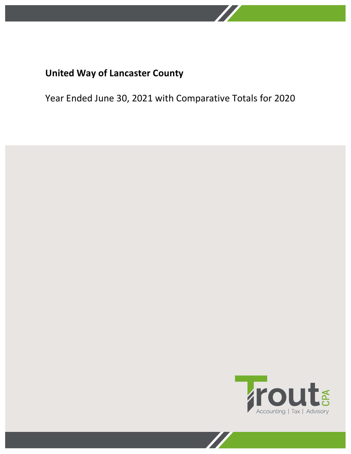

Year Ended June 30, 2021 with Comparative Totals for 2020

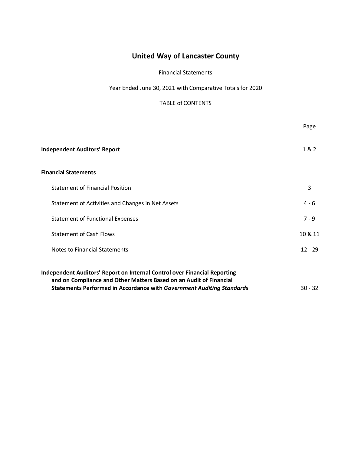### Financial Statements

Year Ended June 30, 2021 with Comparative Totals for 2020

# TABLE of CONTENTS

|                                                                                                                                                                                                                                        | Page      |
|----------------------------------------------------------------------------------------------------------------------------------------------------------------------------------------------------------------------------------------|-----------|
| <b>Independent Auditors' Report</b>                                                                                                                                                                                                    | 1&2       |
| <b>Financial Statements</b>                                                                                                                                                                                                            |           |
| <b>Statement of Financial Position</b>                                                                                                                                                                                                 | 3         |
| Statement of Activities and Changes in Net Assets                                                                                                                                                                                      | $4 - 6$   |
| <b>Statement of Functional Expenses</b>                                                                                                                                                                                                | $7 - 9$   |
| <b>Statement of Cash Flows</b>                                                                                                                                                                                                         | 10 & 11   |
| <b>Notes to Financial Statements</b>                                                                                                                                                                                                   | $12 - 29$ |
| <b>Independent Auditors' Report on Internal Control over Financial Reporting</b><br>and on Compliance and Other Matters Based on an Audit of Financial<br><b>Statements Performed in Accordance with Government Auditing Standards</b> | $30 - 32$ |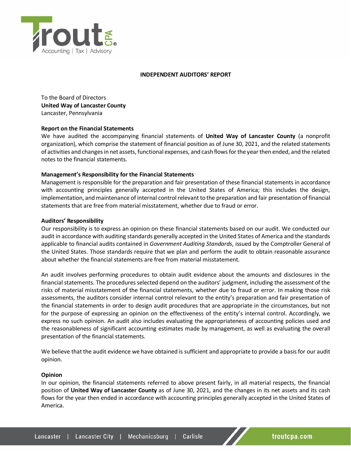

#### **INDEPENDENT AUDITORS' REPORT**

To the Board of Directors **United Way of Lancaster County** Lancaster, Pennsylvania

#### **Report on the Financial Statements**

We have audited the accompanying financial statements of **United Way of Lancaster County** (a nonprofit organization), which comprise the statement of financial position as of June 30, 2021, and the related statements of activities and changes in net assets, functional expenses, and cash flows for the year then ended, and the related notes to the financial statements.

### **Management's Responsibility for the Financial Statements**

Management is responsible for the preparation and fair presentation of these financial statements in accordance with accounting principles generally accepted in the United States of America; this includes the design, implementation, and maintenance of internal control relevant to the preparation and fair presentation of financial statements that are free from material misstatement, whether due to fraud or error.

#### **Auditors' Responsibility**

Our responsibility is to express an opinion on these financial statements based on our audit. We conducted our audit in accordance with auditing standards generally accepted in the United States of America and the standards applicable to financial audits contained in *Government Auditing Standards*, issued by the Comptroller General of the United States. Those standards require that we plan and perform the audit to obtain reasonable assurance about whether the financial statements are free from material misstatement.

An audit involves performing procedures to obtain audit evidence about the amounts and disclosures in the financial statements. The procedures selected depend on the auditors' judgment, including the assessment of the risks of material misstatement of the financial statements, whether due to fraud or error. In making those risk assessments, the auditors consider internal control relevant to the entity's preparation and fair presentation of the financial statements in order to design audit procedures that are appropriate in the circumstances, but not for the purpose of expressing an opinion on the effectiveness of the entity's internal control. Accordingly, we express no such opinion. An audit also includes evaluating the appropriateness of accounting policies used and the reasonableness of significant accounting estimates made by management, as well as evaluating the overall presentation of the financial statements.

We believe that the audit evidence we have obtained is sufficient and appropriate to provide a basis for our audit opinion.

#### **Opinion**

In our opinion, the financial statements referred to above present fairly, in all material respects, the financial position of **United Way of Lancaster County** as of June 30, 2021, and the changes in its net assets and its cash flows for the year then ended in accordance with accounting principles generally accepted in the United States of America.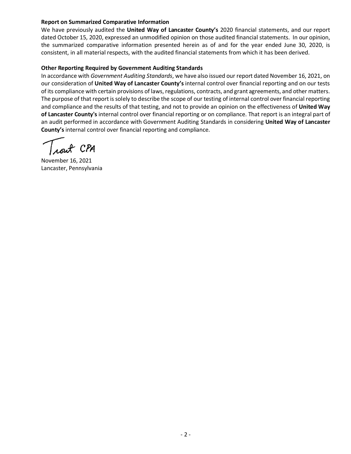### **Report on Summarized Comparative Information**

We have previously audited the **United Way of Lancaster County's** 2020 financial statements, and our report dated October 15, 2020, expressed an unmodified opinion on those audited financial statements. In our opinion, the summarized comparative information presented herein as of and for the year ended June 30, 2020, is consistent, in all material respects, with the audited financial statements from which it has been derived.

#### **Other Reporting Required by Government Auditing Standards**

In accordance with *Government Auditing Standards*, we have also issued our report dated November 16, 2021, on our consideration of **United Way of Lancaster County's** internal control over financial reporting and on our tests of its compliance with certain provisions of laws, regulations, contracts, and grant agreements, and other matters. The purpose of that report is solely to describe the scope of our testing of internal control over financial reporting and compliance and the results of that testing, and not to provide an opinion on the effectiveness of **United Way of Lancaster County's** internal control over financial reporting or on compliance. That report is an integral part of an audit performed in accordance with Government Auditing Standards in considering **United Way of Lancaster County's** internal control over financial reporting and compliance.

November 16, 2021 Lancaster, Pennsylvania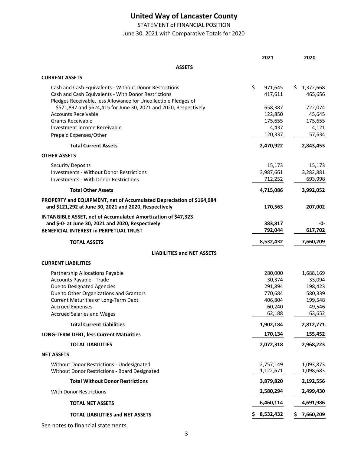STATEMENT of FINANCIAL POSITION

June 30, 2021 with Comparative Totals for 2020

|                                                                                                                                                                                  | 2021                     | 2020                      |
|----------------------------------------------------------------------------------------------------------------------------------------------------------------------------------|--------------------------|---------------------------|
| <b>ASSETS</b>                                                                                                                                                                    |                          |                           |
| <b>CURRENT ASSETS</b>                                                                                                                                                            |                          |                           |
| Cash and Cash Equivalents - Without Donor Restrictions<br>Cash and Cash Equivalents - With Donor Restrictions<br>Pledges Receivable, less Allowance for Uncollectible Pledges of | \$<br>971,645<br>417,611 | 1,372,668<br>S<br>465,656 |
| \$571,897 and \$624,415 for June 30, 2021 and 2020, Respectively                                                                                                                 | 658,387                  | 722,074                   |
| <b>Accounts Receivable</b>                                                                                                                                                       | 122,850                  | 45,645                    |
| <b>Grants Receivable</b>                                                                                                                                                         | 175,655                  | 175,655                   |
| Investment Income Receivable<br>Prepaid Expenses/Other                                                                                                                           | 4,437<br>120,337         | 4,121<br>57,634           |
|                                                                                                                                                                                  |                          |                           |
| <b>Total Current Assets</b>                                                                                                                                                      | 2,470,922                | 2,843,453                 |
| <b>OTHER ASSETS</b>                                                                                                                                                              |                          |                           |
| <b>Security Deposits</b>                                                                                                                                                         | 15,173                   | 15,173                    |
| <b>Investments - Without Donor Restrictions</b>                                                                                                                                  | 3,987,661                | 3,282,881                 |
| Investments - With Donor Restrictions                                                                                                                                            | 712,252                  | 693,998                   |
| <b>Total Other Assets</b>                                                                                                                                                        | 4,715,086                | 3,992,052                 |
| PROPERTY and EQUIPMENT, net of Accumulated Depreciation of \$164,984<br>and \$121,292 at June 30, 2021 and 2020, Respectively                                                    | 170,563                  | 207,002                   |
| INTANGIBLE ASSET, net of Accumulated Amortization of \$47,323                                                                                                                    |                          |                           |
| and \$-0- at June 30, 2021 and 2020, Respectively                                                                                                                                | 383,817                  | -0-                       |
| <b>BENEFICIAL INTEREST in PERPETUAL TRUST</b>                                                                                                                                    | 792,044                  | 617,702                   |
| <b>TOTAL ASSETS</b>                                                                                                                                                              | 8,532,432                | 7,660,209                 |
| <b>LIABILITIES and NET ASSETS</b>                                                                                                                                                |                          |                           |
| <b>CURRENT LIABILITIES</b>                                                                                                                                                       |                          |                           |
| Partnership Allocations Payable                                                                                                                                                  | 280,000                  | 1,688,169                 |
| Accounts Payable - Trade                                                                                                                                                         | 30,374                   | 33,094                    |
| Due to Designated Agencies                                                                                                                                                       | 291,894                  | 198,423                   |
| Due to Other Organizations and Grantors                                                                                                                                          | 770,684                  | 580,339                   |
| Current Maturities of Long-Term Debt<br><b>Accrued Expenses</b>                                                                                                                  | 406,804<br>60,240        | 199,548<br>49,546         |
| <b>Accrued Salaries and Wages</b>                                                                                                                                                | 62,188                   | 63,652                    |
| <b>Total Current Liabilities</b>                                                                                                                                                 | 1,902,184                | 2,812,771                 |
| <b>LONG-TERM DEBT, less Current Maturities</b>                                                                                                                                   | 170,134                  | 155,452                   |
| <b>TOTAL LIABILITIES</b>                                                                                                                                                         | 2,072,318                | 2,968,223                 |
| <b>NET ASSETS</b>                                                                                                                                                                |                          |                           |
|                                                                                                                                                                                  |                          |                           |
| Without Donor Restrictions - Undesignated<br>Without Donor Restrictions - Board Designated                                                                                       | 2,757,149<br>1,122,671   | 1,093,873<br>1,098,683    |
| <b>Total Without Donor Restrictions</b>                                                                                                                                          | 3,879,820                | 2,192,556                 |
| With Donor Restrictions                                                                                                                                                          | 2,580,294                | 2,499,430                 |
| <b>TOTAL NET ASSETS</b>                                                                                                                                                          | 6,460,114                | 4,691,986                 |
| <b>TOTAL LIABILITIES and NET ASSETS</b>                                                                                                                                          | 8,532,432<br>S           | 7,660,209<br>S            |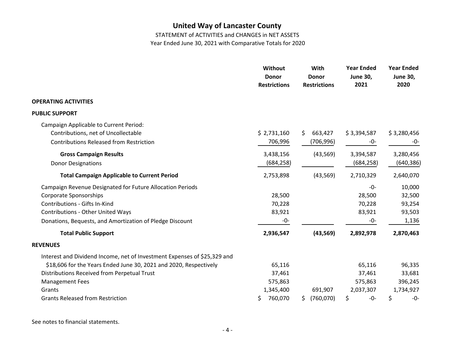STATEMENT of ACTIVITIES and CHANGES in NET ASSETS

Year Ended June 30, 2021 with Comparative Totals for 2020

|                                                                          | Without<br><b>Donor</b><br><b>Restrictions</b> | With<br><b>Donor</b><br><b>Restrictions</b> | <b>Year Ended</b><br><b>June 30,</b><br>2021 | <b>Year Ended</b><br><b>June 30,</b><br>2020 |
|--------------------------------------------------------------------------|------------------------------------------------|---------------------------------------------|----------------------------------------------|----------------------------------------------|
| <b>OPERATING ACTIVITIES</b>                                              |                                                |                                             |                                              |                                              |
| <b>PUBLIC SUPPORT</b>                                                    |                                                |                                             |                                              |                                              |
| Campaign Applicable to Current Period:                                   |                                                |                                             |                                              |                                              |
| Contributions, net of Uncollectable                                      | \$2,731,160                                    | \$<br>663,427                               | \$3,394,587                                  | \$3,280,456                                  |
| <b>Contributions Released from Restriction</b>                           | 706,996                                        | (706, 996)                                  | -0-                                          | -0-                                          |
| <b>Gross Campaign Results</b>                                            | 3,438,156                                      | (43, 569)                                   | 3,394,587                                    | 3,280,456                                    |
| <b>Donor Designations</b>                                                | (684, 258)                                     |                                             | (684, 258)                                   | (640,386)                                    |
| <b>Total Campaign Applicable to Current Period</b>                       | 2,753,898                                      | (43, 569)                                   | 2,710,329                                    | 2,640,070                                    |
| Campaign Revenue Designated for Future Allocation Periods                |                                                |                                             | $-0-$                                        | 10,000                                       |
| <b>Corporate Sponsorships</b>                                            | 28,500                                         |                                             | 28,500                                       | 32,500                                       |
| Contributions - Gifts In-Kind                                            | 70,228                                         |                                             | 70,228                                       | 93,254                                       |
| <b>Contributions - Other United Ways</b>                                 | 83,921                                         |                                             | 83,921                                       | 93,503                                       |
| Donations, Bequests, and Amortization of Pledge Discount                 | $-0-$                                          |                                             | $-0-$                                        | 1,136                                        |
| <b>Total Public Support</b>                                              | 2,936,547                                      | (43, 569)                                   | 2,892,978                                    | 2,870,463                                    |
| <b>REVENUES</b>                                                          |                                                |                                             |                                              |                                              |
| Interest and Dividend Income, net of Investment Expenses of \$25,329 and |                                                |                                             |                                              |                                              |
| \$18,606 for the Years Ended June 30, 2021 and 2020, Respectively        | 65,116                                         |                                             | 65,116                                       | 96,335                                       |
| Distributions Received from Perpetual Trust                              | 37,461                                         |                                             | 37,461                                       | 33,681                                       |
| <b>Management Fees</b>                                                   | 575,863                                        |                                             | 575,863                                      | 396,245                                      |
| Grants                                                                   | 1,345,400                                      | 691,907                                     | 2,037,307                                    | 1,734,927                                    |
| <b>Grants Released from Restriction</b>                                  | 760,070<br>\$                                  | (760, 070)<br>S                             | \$<br>$-0-$                                  | \$<br>$-0-$                                  |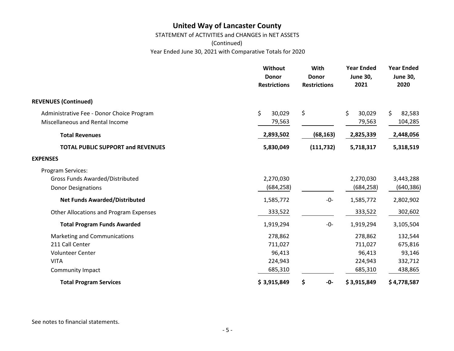STATEMENT of ACTIVITIES and CHANGES in NET ASSETS

(Continued)

Year Ended June 30, 2021 with Comparative Totals for 2020

|                                           | <b>Without</b><br><b>Donor</b><br><b>Restrictions</b> | With<br><b>Donor</b><br><b>Restrictions</b> | <b>Year Ended</b><br><b>June 30,</b><br>2021 | <b>Year Ended</b><br><b>June 30,</b><br>2020 |
|-------------------------------------------|-------------------------------------------------------|---------------------------------------------|----------------------------------------------|----------------------------------------------|
| <b>REVENUES (Continued)</b>               |                                                       |                                             |                                              |                                              |
| Administrative Fee - Donor Choice Program | \$<br>30,029                                          | \$                                          | \$<br>30,029                                 | \$<br>82,583                                 |
| Miscellaneous and Rental Income           | 79,563                                                |                                             | 79,563                                       | 104,285                                      |
| <b>Total Revenues</b>                     | 2,893,502                                             | (68, 163)                                   | 2,825,339                                    | 2,448,056                                    |
| <b>TOTAL PUBLIC SUPPORT and REVENUES</b>  | 5,830,049                                             | (111, 732)                                  | 5,718,317                                    | 5,318,519                                    |
| <b>EXPENSES</b>                           |                                                       |                                             |                                              |                                              |
| Program Services:                         |                                                       |                                             |                                              |                                              |
| <b>Gross Funds Awarded/Distributed</b>    | 2,270,030                                             |                                             | 2,270,030                                    | 3,443,288                                    |
| <b>Donor Designations</b>                 | (684, 258)                                            |                                             | (684, 258)                                   | (640,386)                                    |
| <b>Net Funds Awarded/Distributed</b>      | 1,585,772                                             | -0-                                         | 1,585,772                                    | 2,802,902                                    |
| Other Allocations and Program Expenses    | 333,522                                               |                                             | 333,522                                      | 302,602                                      |
| <b>Total Program Funds Awarded</b>        | 1,919,294                                             | $-0-$                                       | 1,919,294                                    | 3,105,504                                    |
| Marketing and Communications              | 278,862                                               |                                             | 278,862                                      | 132,544                                      |
| 211 Call Center                           | 711,027                                               |                                             | 711,027                                      | 675,816                                      |
| <b>Volunteer Center</b>                   | 96,413                                                |                                             | 96,413                                       | 93,146                                       |
| <b>VITA</b>                               | 224,943                                               |                                             | 224,943                                      | 332,712                                      |
| Community Impact                          | 685,310                                               |                                             | 685,310                                      | 438,865                                      |
| <b>Total Program Services</b>             | \$3,915,849                                           | \$<br>-0-                                   | \$3,915,849                                  | \$4,778,587                                  |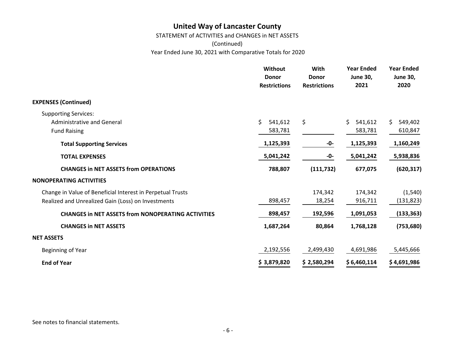STATEMENT of ACTIVITIES and CHANGES in NET ASSETS

(Continued)

Year Ended June 30, 2021 with Comparative Totals for 2020

|                                                            | Without<br><b>Donor</b><br><b>Restrictions</b> | With<br><b>Donor</b><br><b>Restrictions</b> | <b>Year Ended</b><br><b>June 30,</b><br>2021 | <b>Year Ended</b><br><b>June 30,</b><br>2020 |
|------------------------------------------------------------|------------------------------------------------|---------------------------------------------|----------------------------------------------|----------------------------------------------|
| <b>EXPENSES (Continued)</b>                                |                                                |                                             |                                              |                                              |
| <b>Supporting Services:</b>                                |                                                |                                             |                                              |                                              |
| <b>Administrative and General</b>                          | \$<br>541,612                                  | \$                                          | Ś.<br>541,612                                | \$<br>549,402                                |
| <b>Fund Raising</b>                                        | 583,781                                        |                                             | 583,781                                      | 610,847                                      |
| <b>Total Supporting Services</b>                           | 1,125,393                                      | -0-                                         | 1,125,393                                    | 1,160,249                                    |
| <b>TOTAL EXPENSES</b>                                      | 5,041,242                                      | -0-                                         | 5,041,242                                    | 5,938,836                                    |
| <b>CHANGES in NET ASSETS from OPERATIONS</b>               | 788,807                                        | (111, 732)                                  | 677,075                                      | (620, 317)                                   |
| <b>NONOPERATING ACTIVITIES</b>                             |                                                |                                             |                                              |                                              |
| Change in Value of Beneficial Interest in Perpetual Trusts |                                                | 174,342                                     | 174,342                                      | (1, 540)                                     |
| Realized and Unrealized Gain (Loss) on Investments         | 898,457                                        | 18,254                                      | 916,711                                      | (131, 823)                                   |
| <b>CHANGES in NET ASSETS from NONOPERATING ACTIVITIES</b>  | 898,457                                        | 192,596                                     | 1,091,053                                    | (133, 363)                                   |
| <b>CHANGES in NET ASSETS</b>                               | 1,687,264                                      | 80,864                                      | 1,768,128                                    | (753, 680)                                   |
| <b>NET ASSETS</b>                                          |                                                |                                             |                                              |                                              |
| Beginning of Year                                          | 2,192,556                                      | 2,499,430                                   | 4,691,986                                    | 5,445,666                                    |
| <b>End of Year</b>                                         | \$3,879,820                                    | \$2,580,294                                 | \$6,460,114                                  | \$4,691,986                                  |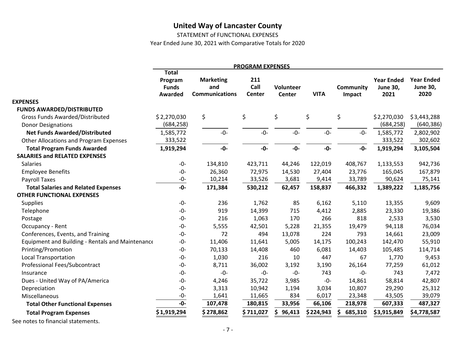STATEMENT of FUNCTIONAL EXPENSES

Year Ended June 30, 2021 with Comparative Totals for 2020

|                                                  |                                                           |                                                  | <b>PROGRAM EXPENSES</b>      |                            |             |                            |                                              |                                              |
|--------------------------------------------------|-----------------------------------------------------------|--------------------------------------------------|------------------------------|----------------------------|-------------|----------------------------|----------------------------------------------|----------------------------------------------|
|                                                  | <b>Total</b><br>Program<br><b>Funds</b><br><b>Awarded</b> | <b>Marketing</b><br>and<br><b>Communications</b> | 211<br>Call<br><b>Center</b> | Volunteer<br><b>Center</b> | <b>VITA</b> | <b>Community</b><br>Impact | <b>Year Ended</b><br><b>June 30,</b><br>2021 | <b>Year Ended</b><br><b>June 30,</b><br>2020 |
| <b>EXPENSES</b>                                  |                                                           |                                                  |                              |                            |             |                            |                                              |                                              |
| <b>FUNDS AWARDED/DISTRIBUTED</b>                 |                                                           |                                                  |                              |                            |             |                            |                                              |                                              |
| <b>Gross Funds Awarded/Distributed</b>           | \$2,270,030                                               | \$                                               | \$                           | \$                         | \$          | \$                         | \$2,270,030                                  | \$3,443,288                                  |
| <b>Donor Designations</b>                        | (684, 258)                                                |                                                  |                              |                            |             |                            | (684, 258)                                   | (640, 386)                                   |
| <b>Net Funds Awarded/Distributed</b>             | 1,585,772                                                 | $-0-$                                            | $-0-$                        | $-0-$                      | $-0-$       | $-0-$                      | 1,585,772                                    | 2,802,902                                    |
| Other Allocations and Program Expenses           | 333,522                                                   |                                                  |                              |                            |             |                            | 333,522                                      | 302,602                                      |
| <b>Total Program Funds Awarded</b>               | 1,919,294                                                 | $-0-$                                            | $-0-$                        | $-0-$                      | $-0-$       | -0-                        | 1,919,294                                    | 3,105,504                                    |
| <b>SALARIES and RELATED EXPENSES</b>             |                                                           |                                                  |                              |                            |             |                            |                                              |                                              |
| <b>Salaries</b>                                  | $-0-$                                                     | 134,810                                          | 423,711                      | 44,246                     | 122,019     | 408,767                    | 1,133,553                                    | 942,736                                      |
| <b>Employee Benefits</b>                         | $-0-$                                                     | 26,360                                           | 72,975                       | 14,530                     | 27,404      | 23,776                     | 165,045                                      | 167,879                                      |
| Payroll Taxes                                    | -0-                                                       | 10,214                                           | 33,526                       | 3,681                      | 9,414       | 33,789                     | 90,624                                       | 75,141                                       |
| <b>Total Salaries and Related Expenses</b>       | $-0-$                                                     | 171,384                                          | 530,212                      | 62,457                     | 158,837     | 466,332                    | 1,389,222                                    | 1,185,756                                    |
| <b>OTHER FUNCTIONAL EXPENSES</b>                 |                                                           |                                                  |                              |                            |             |                            |                                              |                                              |
| <b>Supplies</b>                                  | $-0-$                                                     | 236                                              | 1,762                        | 85                         | 6,162       | 5,110                      | 13,355                                       | 9,609                                        |
| Telephone                                        | $-0-$                                                     | 919                                              | 14,399                       | 715                        | 4,412       | 2,885                      | 23,330                                       | 19,386                                       |
| Postage                                          | -0-                                                       | 216                                              | 1,063                        | 170                        | 266         | 818                        | 2,533                                        | 3,530                                        |
| Occupancy - Rent                                 | $-0-$                                                     | 5,555                                            | 42,501                       | 5,228                      | 21,355      | 19,479                     | 94,118                                       | 76,034                                       |
| Conferences, Events, and Training                | $-0-$                                                     | 72                                               | 494                          | 13,078                     | 224         | 793                        | 14,661                                       | 23,009                                       |
| Equipment and Building - Rentals and Maintenance | $-0-$                                                     | 11,406                                           | 11,641                       | 5,005                      | 14,175      | 100,243                    | 142,470                                      | 55,910                                       |
| Printing/Promotion                               | $-0-$                                                     | 70,133                                           | 14,408                       | 460                        | 6,081       | 14,403                     | 105,485                                      | 114,714                                      |
| <b>Local Transportation</b>                      | $-0-$                                                     | 1,030                                            | 216                          | 10                         | 447         | 67                         | 1,770                                        | 9,453                                        |
| Professional Fees/Subcontract                    | $-0-$                                                     | 8,711                                            | 36,002                       | 3,192                      | 3,190       | 26,164                     | 77,259                                       | 61,012                                       |
| Insurance                                        | $-0-$                                                     | $-0-$                                            | $-0-$                        | $-0-$                      | 743         | $-0-$                      | 743                                          | 7,472                                        |
| Dues - United Way of PA/America                  | $-0-$                                                     | 4,246                                            | 35,722                       | 3,985                      | $-0-$       | 14,861                     | 58,814                                       | 42,807                                       |
| Depreciation                                     | $-0-$                                                     | 3,313                                            | 10,942                       | 1,194                      | 3,034       | 10,807                     | 29,290                                       | 25,312                                       |
| Miscellaneous                                    | $-0-$                                                     | 1,641                                            | 11,665                       | 834                        | 6,017       | 23,348                     | 43,505                                       | 39,079                                       |
| <b>Total Other Functional Expenses</b>           | -0-                                                       | 107,478                                          | 180,815                      | 33,956                     | 66,106      | 218,978                    | 607,333                                      | 487,327                                      |
| <b>Total Program Expenses</b>                    | \$1,919,294                                               | \$278,862                                        | \$711,027                    | S<br>96,413                | \$224,943   | 685,310                    | \$3,915,849                                  | \$4,778,587                                  |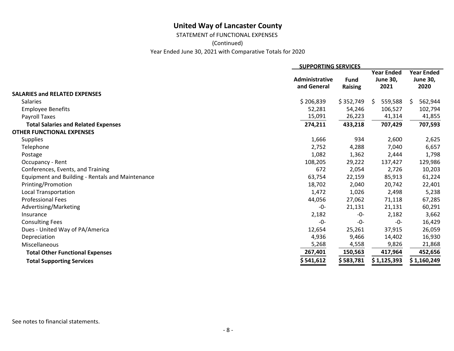STATEMENT of FUNCTIONAL EXPENSES

(Continued)

Year Ended June 30, 2021 with Comparative Totals for 2020

|                                                  | <b>SUPPORTING SERVICES</b>    |                               |                                              |                                              |
|--------------------------------------------------|-------------------------------|-------------------------------|----------------------------------------------|----------------------------------------------|
|                                                  | Administrative<br>and General | <b>Fund</b><br><b>Raising</b> | <b>Year Ended</b><br><b>June 30,</b><br>2021 | <b>Year Ended</b><br><b>June 30,</b><br>2020 |
| <b>SALARIES and RELATED EXPENSES</b>             |                               |                               |                                              |                                              |
| <b>Salaries</b>                                  | \$206,839                     | \$352,749                     | 559,588<br>- S                               | 562,944<br>S                                 |
| <b>Employee Benefits</b>                         | 52,281                        | 54,246                        | 106,527                                      | 102,794                                      |
| Payroll Taxes                                    | 15,091                        | 26,223                        | 41,314                                       | 41,855                                       |
| <b>Total Salaries and Related Expenses</b>       | 274,211                       | 433,218                       | 707,429                                      | 707,593                                      |
| <b>OTHER FUNCTIONAL EXPENSES</b>                 |                               |                               |                                              |                                              |
| <b>Supplies</b>                                  | 1,666                         | 934                           | 2,600                                        | 2,625                                        |
| Telephone                                        | 2,752                         | 4,288                         | 7,040                                        | 6,657                                        |
| Postage                                          | 1,082                         | 1,362                         | 2,444                                        | 1,798                                        |
| Occupancy - Rent                                 | 108,205                       | 29,222                        | 137,427                                      | 129,986                                      |
| Conferences, Events, and Training                | 672                           | 2,054                         | 2,726                                        | 10,203                                       |
| Equipment and Building - Rentals and Maintenance | 63,754                        | 22,159                        | 85,913                                       | 61,224                                       |
| Printing/Promotion                               | 18,702                        | 2,040                         | 20,742                                       | 22,401                                       |
| Local Transportation                             | 1,472                         | 1,026                         | 2,498                                        | 5,238                                        |
| <b>Professional Fees</b>                         | 44,056                        | 27,062                        | 71,118                                       | 67,285                                       |
| Advertising/Marketing                            | -0-                           | 21,131                        | 21,131                                       | 60,291                                       |
| Insurance                                        | 2,182                         | -0-                           | 2,182                                        | 3,662                                        |
| <b>Consulting Fees</b>                           | $-0-$                         | -0-                           | -0-                                          | 16,429                                       |
| Dues - United Way of PA/America                  | 12,654                        | 25,261                        | 37,915                                       | 26,059                                       |
| Depreciation                                     | 4,936                         | 9,466                         | 14,402                                       | 16,930                                       |
| Miscellaneous                                    | 5,268                         | 4,558                         | 9,826                                        | 21,868                                       |
| <b>Total Other Functional Expenses</b>           | 267,401                       | 150,563                       | 417,964                                      | 452,656                                      |
| <b>Total Supporting Services</b>                 | \$541,612                     | \$ 583,781                    | \$1,125,393                                  | \$1,160,249                                  |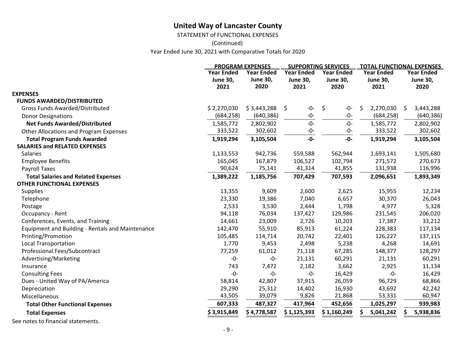STATEMENT of FUNCTIONAL EXPENSES

(Continued)

Year Ended June 30, 2021 with Comparative Totals for 2020

|                                                  |                   | <b>PROGRAM EXPENSES</b> | <b>SUPPORTING SERVICES</b> |                   |                   | <b>TOTAL FUNCTIONAL EXPENSES</b> |
|--------------------------------------------------|-------------------|-------------------------|----------------------------|-------------------|-------------------|----------------------------------|
|                                                  | <b>Year Ended</b> | <b>Year Ended</b>       | <b>Year Ended</b>          | <b>Year Ended</b> | <b>Year Ended</b> | <b>Year Ended</b>                |
|                                                  | <b>June 30,</b>   | <b>June 30,</b>         | <b>June 30,</b>            | <b>June 30,</b>   | <b>June 30,</b>   | <b>June 30,</b>                  |
|                                                  | 2021              | 2020                    | 2021                       | 2020              | 2021              | 2020                             |
| <b>EXPENSES</b>                                  |                   |                         |                            |                   |                   |                                  |
| <b>FUNDS AWARDED/DISTRIBUTED</b>                 |                   |                         |                            |                   |                   |                                  |
| <b>Gross Funds Awarded/Distributed</b>           | \$2,270,030       | \$3,443,288             | \$<br>$-0-$                | \$<br>$-0-$       | \$<br>2,270,030   | \$<br>3,443,288                  |
| <b>Donor Designations</b>                        | (684, 258)        | (640, 386)              | $-0-$                      | $-0-$             | (684, 258)        | (640, 386)                       |
| <b>Net Funds Awarded/Distributed</b>             | 1,585,772         | 2,802,902               | $-0-$                      | $-0-$             | 1,585,772         | 2,802,902                        |
| Other Allocations and Program Expenses           | 333,522           | 302,602                 | $-0-$                      | $-0-$             | 333,522           | 302,602                          |
| <b>Total Program Funds Awarded</b>               | 1,919,294         | 3,105,504               | $-0-$                      | $-0-$             | 1,919,294         | 3,105,504                        |
| <b>SALARIES and RELATED EXPENSES</b>             |                   |                         |                            |                   |                   |                                  |
| <b>Salaries</b>                                  | 1,133,553         | 942,736                 | 559,588                    | 562,944           | 1,693,141         | 1,505,680                        |
| <b>Employee Benefits</b>                         | 165,045           | 167,879                 | 106,527                    | 102,794           | 271,572           | 270,673                          |
| Payroll Taxes                                    | 90,624            | 75,141                  | 41,314                     | 41,855            | 131,938           | 116,996                          |
| <b>Total Salaries and Related Expenses</b>       | 1,389,222         | 1,185,756               | 707,429                    | 707,593           | 2,096,651         | 1,893,349                        |
| <b>OTHER FUNCTIONAL EXPENSES</b>                 |                   |                         |                            |                   |                   |                                  |
| <b>Supplies</b>                                  | 13,355            | 9,609                   | 2,600                      | 2,625             | 15,955            | 12,234                           |
| Telephone                                        | 23,330            | 19,386                  | 7,040                      | 6,657             | 30,370            | 26,043                           |
| Postage                                          | 2,533             | 3,530                   | 2,444                      | 1,798             | 4,977             | 5,328                            |
| Occupancy - Rent                                 | 94,118            | 76,034                  | 137,427                    | 129,986           | 231,545           | 206,020                          |
| Conferences, Events, and Training                | 14,661            | 23,009                  | 2,726                      | 10,203            | 17,387            | 33,212                           |
| Equipment and Building - Rentals and Maintenance | 142,470           | 55,910                  | 85,913                     | 61,224            | 228,383           | 117,134                          |
| Printing/Promotion                               | 105,485           | 114,714                 | 20,742                     | 22,401            | 126,227           | 137,115                          |
| <b>Local Transportation</b>                      | 1,770             | 9,453                   | 2,498                      | 5,238             | 4,268             | 14,691                           |
| Professional Fees/Subcontract                    | 77,259            | 61,012                  | 71,118                     | 67,285            | 148,377           | 128,297                          |
| Advertising/Marketing                            | -0-               | $-0-$                   | 21,131                     | 60,291            | 21,131            | 60,291                           |
| Insurance                                        | 743               | 7,472                   | 2,182                      | 3,662             | 2,925             | 11,134                           |
| <b>Consulting Fees</b>                           | $-0-$             | $-0-$                   | $-0-$                      | 16,429            | $-0-$             | 16,429                           |
| Dues - United Way of PA/America                  | 58,814            | 42,807                  | 37,915                     | 26,059            | 96,729            | 68,866                           |
| Depreciation                                     | 29,290            | 25,312                  | 14,402                     | 16,930            | 43,692            | 42,242                           |
| Miscellaneous                                    | 43,505            | 39,079                  | 9,826                      | 21,868            | 53,331            | 60,947                           |
| <b>Total Other Functional Expenses</b>           | 607,333           | 487,327                 | 417,964                    | 452,656           | 1,025,297         | 939,983                          |
| <b>Total Expenses</b>                            | \$3,915,849       | \$4,778,587             | \$1,125,393                | \$1,160,249       | 5,041,242<br>S    | 5,938,836                        |
|                                                  |                   |                         |                            |                   |                   |                                  |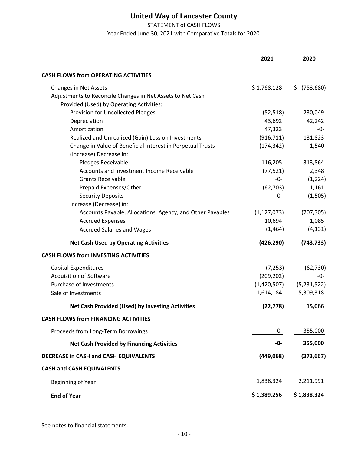STATEMENT of CASH FLOWS

Year Ended June 30, 2021 with Comparative Totals for 2020

|                                                            | 2021          | 2020         |
|------------------------------------------------------------|---------------|--------------|
| <b>CASH FLOWS from OPERATING ACTIVITIES</b>                |               |              |
| Changes in Net Assets                                      | \$1,768,128   | \$ (753,680) |
| Adjustments to Reconcile Changes in Net Assets to Net Cash |               |              |
| Provided (Used) by Operating Activities:                   |               |              |
| <b>Provision for Uncollected Pledges</b>                   | (52, 518)     | 230,049      |
| Depreciation                                               | 43,692        | 42,242       |
| Amortization                                               | 47,323        | -0-          |
| Realized and Unrealized (Gain) Loss on Investments         | (916, 711)    | 131,823      |
| Change in Value of Beneficial Interest in Perpetual Trusts | (174, 342)    | 1,540        |
| (Increase) Decrease in:                                    |               |              |
| Pledges Receivable                                         | 116,205       | 313,864      |
| Accounts and Investment Income Receivable                  | (77, 521)     | 2,348        |
| <b>Grants Receivable</b>                                   | $-0-$         | (1, 224)     |
| Prepaid Expenses/Other                                     | (62, 703)     | 1,161        |
| <b>Security Deposits</b>                                   | -0-           | (1, 505)     |
| Increase (Decrease) in:                                    |               |              |
| Accounts Payable, Allocations, Agency, and Other Payables  | (1, 127, 073) | (707, 305)   |
| <b>Accrued Expenses</b>                                    | 10,694        | 1,085        |
| <b>Accrued Salaries and Wages</b>                          | (1, 464)      | (4, 131)     |
| <b>Net Cash Used by Operating Activities</b>               | (426, 290)    | (743, 733)   |
| <b>CASH FLOWS from INVESTING ACTIVITIES</b>                |               |              |
| <b>Capital Expenditures</b>                                | (7, 253)      | (62, 730)    |
| <b>Acquisition of Software</b>                             | (209, 202)    | -0-          |
| Purchase of Investments                                    | (1,420,507)   | (5,231,522)  |
| Sale of Investments                                        | 1,614,184     | 5,309,318    |
| Net Cash Provided (Used) by Investing Activities           | (22, 778)     | 15,066       |
| <b>CASH FLOWS from FINANCING ACTIVITIES</b>                |               |              |
| Proceeds from Long-Term Borrowings                         | -0-           | 355,000      |
| <b>Net Cash Provided by Financing Activities</b>           | -0-           | 355,000      |
| DECREASE in CASH and CASH EQUIVALENTS                      | (449,068)     | (373, 667)   |
| <b>CASH and CASH EQUIVALENTS</b>                           |               |              |
| Beginning of Year                                          | 1,838,324     | 2,211,991    |
| <b>End of Year</b>                                         | \$1,389,256   | \$1,838,324  |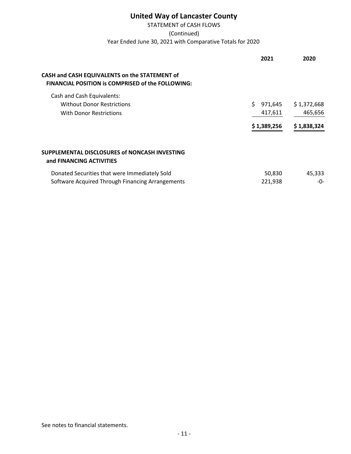# STATEMENT of CASH FLOWS Year Ended June 30, 2021 with Comparative Totals for 2020 (Continued)

|                                                                                                           | 2021          | 2020        |
|-----------------------------------------------------------------------------------------------------------|---------------|-------------|
| CASH and CASH EQUIVALENTS on the STATEMENT of<br><b>FINANCIAL POSITION is COMPRISED of the FOLLOWING:</b> |               |             |
| Cash and Cash Equivalents:                                                                                |               |             |
| <b>Without Donor Restrictions</b>                                                                         | Ś.<br>971,645 | \$1,372,668 |
| With Donor Restrictions                                                                                   | 417,611       | 465,656     |
|                                                                                                           | \$1,389,256   | \$1,838,324 |
| SUPPLEMENTAL DISCLOSURES of NONCASH INVESTING<br>and FINANCING ACTIVITIES                                 |               |             |
| Donated Securities that were Immediately Sold                                                             | 50,830        | 45,333      |
| Software Acquired Through Financing Arrangements                                                          | 221,938       | -0-         |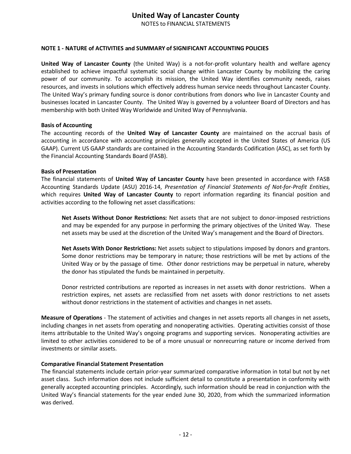NOTES to FINANCIAL STATEMENTS

### **NOTE 1 ‐ NATURE of ACTIVITIES and SUMMARY of SIGNIFICANT ACCOUNTING POLICIES**

**United Way of Lancaster County** (the United Way) is a not‐for‐profit voluntary health and welfare agency established to achieve impactful systematic social change within Lancaster County by mobilizing the caring power of our community. To accomplish its mission, the United Way identifies community needs, raises resources, and invests in solutions which effectively address human service needs throughout Lancaster County. The United Way's primary funding source is donor contributions from donors who live in Lancaster County and businesses located in Lancaster County. The United Way is governed by a volunteer Board of Directors and has membership with both United Way Worldwide and United Way of Pennsylvania.

#### **Basis of Accounting**

The accounting records of the **United Way of Lancaster County** are maintained on the accrual basis of accounting in accordance with accounting principles generally accepted in the United States of America (US GAAP). Current US GAAP standards are contained in the Accounting Standards Codification (ASC), as set forth by the Financial Accounting Standards Board (FASB).

#### **Basis of Presentation**

The financial statements of **United Way of Lancaster County** have been presented in accordance with FASB Accounting Standards Update (ASU) 2016‐14, *Presentation of Financial Statements of Not‐for‐Profit Entities*, which requires **United Way of Lancaster County** to report information regarding its financial position and activities according to the following net asset classifications:

**Net Assets Without Donor Restrictions:** Net assets that are not subject to donor‐imposed restrictions and may be expended for any purpose in performing the primary objectives of the United Way. These net assets may be used at the discretion of the United Way's management and the Board of Directors.

**Net Assets With Donor Restrictions:** Net assets subject to stipulations imposed by donors and grantors. Some donor restrictions may be temporary in nature; those restrictions will be met by actions of the United Way or by the passage of time. Other donor restrictions may be perpetual in nature, whereby the donor has stipulated the funds be maintained in perpetuity.

Donor restricted contributions are reported as increases in net assets with donor restrictions. When a restriction expires, net assets are reclassified from net assets with donor restrictions to net assets without donor restrictions in the statement of activities and changes in net assets.

**Measure of Operations** ‐ The statement of activities and changes in net assets reports all changes in net assets, including changes in net assets from operating and nonoperating activities. Operating activities consist of those items attributable to the United Way's ongoing programs and supporting services. Nonoperating activities are limited to other activities considered to be of a more unusual or nonrecurring nature or income derived from investments or similar assets.

### **Comparative Financial Statement Presentation**

The financial statements include certain prior‐year summarized comparative information in total but not by net asset class. Such information does not include sufficient detail to constitute a presentation in conformity with generally accepted accounting principles. Accordingly, such information should be read in conjunction with the United Way's financial statements for the year ended June 30, 2020, from which the summarized information was derived.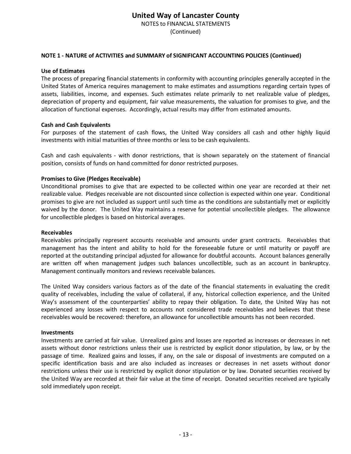NOTES to FINANCIAL STATEMENTS

(Continued)

### **NOTE 1 ‐ NATURE of ACTIVITIES and SUMMARY of SIGNIFICANT ACCOUNTING POLICIES (Continued)**

### **Use of Estimates**

The process of preparing financial statements in conformity with accounting principles generally accepted in the United States of America requires management to make estimates and assumptions regarding certain types of assets, liabilities, income, and expenses. Such estimates relate primarily to net realizable value of pledges, depreciation of property and equipment, fair value measurements, the valuation for promises to give, and the allocation of functional expenses. Accordingly, actual results may differ from estimated amounts.

### **Cash and Cash Equivalents**

For purposes of the statement of cash flows, the United Way considers all cash and other highly liquid investments with initial maturities of three months or less to be cash equivalents.

Cash and cash equivalents ‐ with donor restrictions, that is shown separately on the statement of financial position, consists of funds on hand committed for donor restricted purposes.

### **Promises to Give (Pledges Receivable)**

Unconditional promises to give that are expected to be collected within one year are recorded at their net realizable value. Pledges receivable are not discounted since collection is expected within one year. Conditional promises to give are not included as support until such time as the conditions are substantially met or explicitly waived by the donor. The United Way maintains a reserve for potential uncollectible pledges. The allowance for uncollectible pledges is based on historical averages.

### **Receivables**

Receivables principally represent accounts receivable and amounts under grant contracts. Receivables that management has the intent and ability to hold for the foreseeable future or until maturity or payoff are reported at the outstanding principal adjusted for allowance for doubtful accounts. Account balances generally are written off when management judges such balances uncollectible, such as an account in bankruptcy. Management continually monitors and reviews receivable balances.

The United Way considers various factors as of the date of the financial statements in evaluating the credit quality of receivables, including the value of collateral, if any, historical collection experience, and the United Way's assessment of the counterparties' ability to repay their obligation. To date, the United Way has not experienced any losses with respect to accounts not considered trade receivables and believes that these receivables would be recovered: therefore, an allowance for uncollectible amounts has not been recorded.

### **Investments**

Investments are carried at fair value. Unrealized gains and losses are reported as increases or decreases in net assets without donor restrictions unless their use is restricted by explicit donor stipulation, by law, or by the passage of time. Realized gains and losses, if any, on the sale or disposal of investments are computed on a specific identification basis and are also included as increases or decreases in net assets without donor restrictions unless their use is restricted by explicit donor stipulation or by law. Donated securities received by the United Way are recorded at their fair value at the time of receipt. Donated securities received are typically sold immediately upon receipt.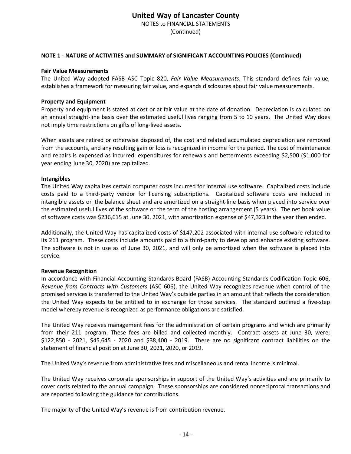NOTES to FINANCIAL STATEMENTS

(Continued)

### **NOTE 1 ‐ NATURE of ACTIVITIES and SUMMARY of SIGNIFICANT ACCOUNTING POLICIES (Continued)**

#### **Fair Value Measurements**

The United Way adopted FASB ASC Topic 820, *Fair Value Measurements*. This standard defines fair value, establishes a framework for measuring fair value, and expands disclosures about fair value measurements.

#### **Property and Equipment**

Property and equipment is stated at cost or at fair value at the date of donation. Depreciation is calculated on an annual straight‐line basis over the estimated useful lives ranging from 5 to 10 years. The United Way does not imply time restrictions on gifts of long‐lived assets.

When assets are retired or otherwise disposed of, the cost and related accumulated depreciation are removed from the accounts, and any resulting gain or loss is recognized in income for the period. The cost of maintenance and repairs is expensed as incurred; expenditures for renewals and betterments exceeding \$2,500 (\$1,000 for year ending June 30, 2020) are capitalized.

#### **Intangibles**

The United Way capitalizes certain computer costs incurred for internal use software. Capitalized costs include costs paid to a third‐party vendor for licensing subscriptions. Capitalized software costs are included in intangible assets on the balance sheet and are amortized on a straight‐line basis when placed into service over the estimated useful lives of the software or the term of the hosting arrangement (5 years). The net book value of software costs was \$236,615 at June 30, 2021, with amortization expense of \$47,323 in the year then ended.

Additionally, the United Way has capitalized costs of \$147,202 associated with internal use software related to its 211 program. These costs include amounts paid to a third‐party to develop and enhance existing software. The software is not in use as of June 30, 2021, and will only be amortized when the software is placed into service.

#### **Revenue Recognition**

In accordance with Financial Accounting Standards Board (FASB) Accounting Standards Codification Topic 606, *Revenue from Contracts with Customers* (ASC 606), the United Way recognizes revenue when control of the promised services is transferred to the United Way's outside parties in an amount that reflects the consideration the United Way expects to be entitled to in exchange for those services. The standard outlined a five‐step model whereby revenue is recognized as performance obligations are satisfied.

The United Way receives management fees for the administration of certain programs and which are primarily from their 211 program. These fees are billed and collected monthly. Contract assets at June 30, were: \$122,850 ‐ 2021, \$45,645 ‐ 2020 and \$38,400 ‐ 2019. There are no significant contract liabilities on the statement of financial position at June 30, 2021, 2020, or 2019.

The United Way's revenue from administrative fees and miscellaneous and rental income is minimal.

The United Way receives corporate sponsorships in support of the United Way's activities and are primarily to cover costs related to the annual campaign. These sponsorships are considered nonreciprocal transactions and are reported following the guidance for contributions.

The majority of the United Way's revenue is from contribution revenue.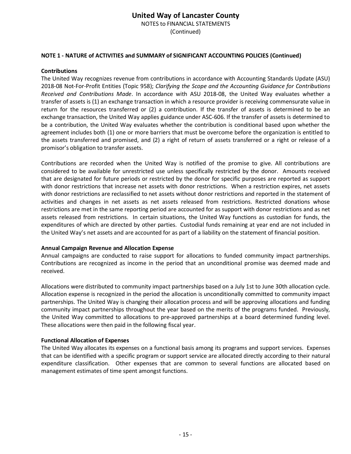NOTES to FINANCIAL STATEMENTS

(Continued)

### **NOTE 1 ‐ NATURE of ACTIVITIES and SUMMARY of SIGNIFICANT ACCOUNTING POLICIES (Continued)**

### **Contributions**

The United Way recognizes revenue from contributions in accordance with Accounting Standards Update (ASU) 2018‐08 Not‐For‐Profit Entities (Topic 958); *Clarifying the Scope and the Accounting Guidance for Contributions Received and Contributions Made*. In accordance with ASU 2018‐08, the United Way evaluates whether a transfer of assets is (1) an exchange transaction in which a resource provider is receiving commensurate value in return for the resources transferred or (2) a contribution. If the transfer of assets is determined to be an exchange transaction, the United Way applies guidance under ASC‐606. If the transfer of assets is determined to be a contribution, the United Way evaluates whether the contribution is conditional based upon whether the agreement includes both (1) one or more barriers that must be overcome before the organization is entitled to the assets transferred and promised, and (2) a right of return of assets transferred or a right or release of a promisor's obligation to transfer assets.

Contributions are recorded when the United Way is notified of the promise to give. All contributions are considered to be available for unrestricted use unless specifically restricted by the donor. Amounts received that are designated for future periods or restricted by the donor for specific purposes are reported as support with donor restrictions that increase net assets with donor restrictions. When a restriction expires, net assets with donor restrictions are reclassified to net assets without donor restrictions and reported in the statement of activities and changes in net assets as net assets released from restrictions. Restricted donations whose restrictions are met in the same reporting period are accounted for as support with donor restrictions and as net assets released from restrictions. In certain situations, the United Way functions as custodian for funds, the expenditures of which are directed by other parties. Custodial funds remaining at year end are not included in the United Way's net assets and are accounted for as part of a liability on the statement of financial position.

### **Annual Campaign Revenue and Allocation Expense**

Annual campaigns are conducted to raise support for allocations to funded community impact partnerships. Contributions are recognized as income in the period that an unconditional promise was deemed made and received.

Allocations were distributed to community impact partnerships based on a July 1st to June 30th allocation cycle. Allocation expense is recognized in the period the allocation is unconditionally committed to community impact partnerships. The United Way is changing their allocation process and will be approving allocations and funding community impact partnerships throughout the year based on the merits of the programs funded. Previously, the United Way committed to allocations to pre‐approved partnerships at a board determined funding level. These allocations were then paid in the following fiscal year.

### **Functional Allocation of Expenses**

The United Way allocates its expenses on a functional basis among its programs and support services. Expenses that can be identified with a specific program or support service are allocated directly according to their natural expenditure classification. Other expenses that are common to several functions are allocated based on management estimates of time spent amongst functions.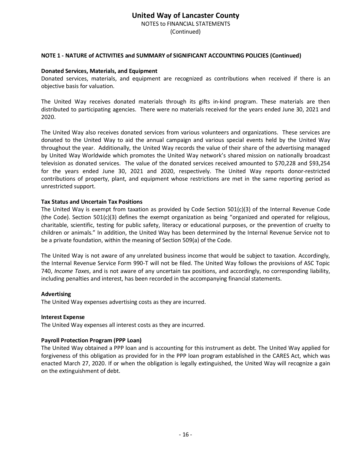NOTES to FINANCIAL STATEMENTS

(Continued)

### **NOTE 1 ‐ NATURE of ACTIVITIES and SUMMARY of SIGNIFICANT ACCOUNTING POLICIES (Continued)**

### **Donated Services, Materials, and Equipment**

Donated services, materials, and equipment are recognized as contributions when received if there is an objective basis for valuation.

The United Way receives donated materials through its gifts in‐kind program. These materials are then distributed to participating agencies. There were no materials received for the years ended June 30, 2021 and 2020.

The United Way also receives donated services from various volunteers and organizations. These services are donated to the United Way to aid the annual campaign and various special events held by the United Way throughout the year. Additionally, the United Way records the value of their share of the advertising managed by United Way Worldwide which promotes the United Way network's shared mission on nationally broadcast television as donated services. The value of the donated services received amounted to \$70,228 and \$93,254 for the years ended June 30, 2021 and 2020, respectively. The United Way reports donor‐restricted contributions of property, plant, and equipment whose restrictions are met in the same reporting period as unrestricted support.

#### **Tax Status and Uncertain Tax Positions**

The United Way is exempt from taxation as provided by Code Section 501(c)(3) of the Internal Revenue Code (the Code). Section 501(c)(3) defines the exempt organization as being "organized and operated for religious, charitable, scientific, testing for public safety, literacy or educational purposes, or the prevention of cruelty to children or animals." In addition, the United Way has been determined by the Internal Revenue Service not to be a private foundation, within the meaning of Section 509(a) of the Code.

The United Way is not aware of any unrelated business income that would be subject to taxation. Accordingly, the Internal Revenue Service Form 990‐T will not be filed. The United Way follows the provisions of ASC Topic 740, *Income Taxes*, and is not aware of any uncertain tax positions, and accordingly, no corresponding liability, including penalties and interest, has been recorded in the accompanying financial statements.

#### **Advertising**

The United Way expenses advertising costs as they are incurred.

#### **Interest Expense**

The United Way expenses all interest costs as they are incurred.

### **Payroll Protection Program (PPP Loan)**

The United Way obtained a PPP loan and is accounting for this instrument as debt. The United Way applied for forgiveness of this obligation as provided for in the PPP loan program established in the CARES Act, which was enacted March 27, 2020. If or when the obligation is legally extinguished, the United Way will recognize a gain on the extinguishment of debt.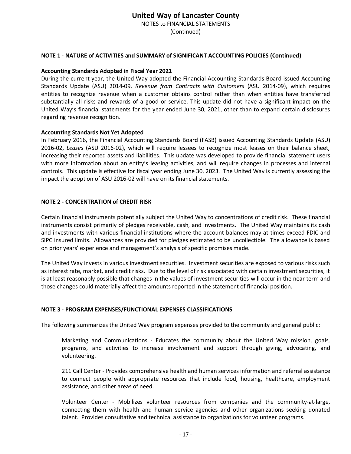NOTES to FINANCIAL STATEMENTS

(Continued)

### **NOTE 1 ‐ NATURE of ACTIVITIES and SUMMARY of SIGNIFICANT ACCOUNTING POLICIES (Continued)**

### **Accounting Standards Adopted in Fiscal Year 2021**

During the current year, the United Way adopted the Financial Accounting Standards Board issued Accounting Standards Update (ASU) 2014‐09, *Revenue from Contracts with Customers* (ASU 2014‐09), which requires entities to recognize revenue when a customer obtains control rather than when entities have transferred substantially all risks and rewards of a good or service. This update did not have a significant impact on the United Way's financial statements for the year ended June 30, 2021, other than to expand certain disclosures regarding revenue recognition.

#### **Accounting Standards Not Yet Adopted**

In February 2016, the Financial Accounting Standards Board (FASB) issued Accounting Standards Update (ASU) 2016‐02, *Leases* (ASU 2016‐02), which will require lessees to recognize most leases on their balance sheet, increasing their reported assets and liabilities. This update was developed to provide financial statement users with more information about an entity's leasing activities, and will require changes in processes and internal controls. This update is effective for fiscal year ending June 30, 2023. The United Way is currently assessing the impact the adoption of ASU 2016-02 will have on its financial statements.

### **NOTE 2 ‐ CONCENTRATION of CREDIT RISK**

Certain financial instruments potentially subject the United Way to concentrations of credit risk. These financial instruments consist primarily of pledges receivable, cash, and investments. The United Way maintains its cash and investments with various financial institutions where the account balances may at times exceed FDIC and SIPC insured limits. Allowances are provided for pledges estimated to be uncollectible. The allowance is based on prior years' experience and management's analysis of specific promises made.

The United Way invests in various investment securities. Investment securities are exposed to various risks such as interest rate, market, and credit risks. Due to the level of risk associated with certain investment securities, it is at least reasonably possible that changes in the values of investment securities will occur in the near term and those changes could materially affect the amounts reported in the statement of financial position.

### **NOTE 3 ‐ PROGRAM EXPENSES/FUNCTIONAL EXPENSES CLASSIFICATIONS**

The following summarizes the United Way program expenses provided to the community and general public:

Marketing and Communications - Educates the community about the United Way mission, goals, programs, and activities to increase involvement and support through giving, advocating, and volunteering.

211 Call Center ‐ Provides comprehensive health and human services information and referral assistance to connect people with appropriate resources that include food, housing, healthcare, employment assistance, and other areas of need.

Volunteer Center ‐ Mobilizes volunteer resources from companies and the community‐at‐large, connecting them with health and human service agencies and other organizations seeking donated talent. Provides consultative and technical assistance to organizations for volunteer programs.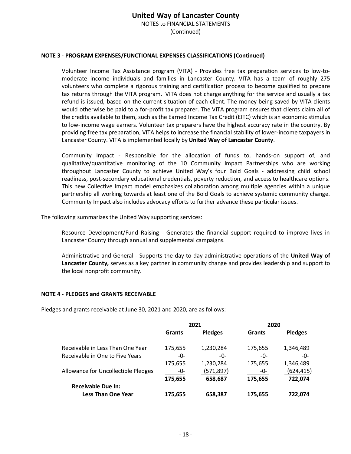NOTES to FINANCIAL STATEMENTS

(Continued)

### **NOTE 3 ‐ PROGRAM EXPENSES/FUNCTIONAL EXPENSES CLASSIFICATIONS (Continued)**

Volunteer Income Tax Assistance program (VITA) ‐ Provides free tax preparation services to low‐to‐ moderate income individuals and families in Lancaster County. VITA has a team of roughly 275 volunteers who complete a rigorous training and certification process to become qualified to prepare tax returns through the VITA program. VITA does not charge anything for the service and usually a tax refund is issued, based on the current situation of each client. The money being saved by VITA clients would otherwise be paid to a for-profit tax preparer. The VITA program ensures that clients claim all of the credits available to them, such as the Earned Income Tax Credit (EITC) which is an economic stimulus to low‐income wage earners. Volunteer tax preparers have the highest accuracy rate in the country. By providing free tax preparation, VITA helps to increase the financial stability of lower-income taxpayers in Lancaster County. VITA is implemented locally by **United Way of Lancaster County**.

Community Impact ‐ Responsible for the allocation of funds to, hands‐on support of, and qualitative/quantitative monitoring of the 10 Community Impact Partnerships who are working throughout Lancaster County to achieve United Way's four Bold Goals ‐ addressing child school readiness, post‐secondary educational credentials, poverty reduction, and access to healthcare options. This new Collective Impact model emphasizes collaboration among multiple agencies within a unique partnership all working towards at least one of the Bold Goals to achieve systemic community change. Community Impact also includes advocacy efforts to further advance these particular issues.

The following summarizes the United Way supporting services:

Resource Development/Fund Raising - Generates the financial support required to improve lives in Lancaster County through annual and supplemental campaigns.

Administrative and General ‐ Supports the day‐to‐day administrative operations of the **United Way of Lancaster County,** serves as a key partner in community change and provides leadership and support to the local nonprofit community.

#### **NOTE 4 ‐ PLEDGES and GRANTS RECEIVABLE**

Pledges and grants receivable at June 30, 2021 and 2020, are as follows:

|                                     | 2021    |                | 2020    |                |  |
|-------------------------------------|---------|----------------|---------|----------------|--|
|                                     | Grants  | <b>Pledges</b> | Grants  | <b>Pledges</b> |  |
| Receivable in Less Than One Year    | 175,655 | 1,230,284      | 175,655 | 1,346,489      |  |
| Receivable in One to Five Years     | -0-     | -0-            | -0-     | -0-            |  |
|                                     | 175,655 | 1,230,284      | 175,655 | 1,346,489      |  |
| Allowance for Uncollectible Pledges | -0-     | (571, 897)     | -0-     | (624,415)      |  |
|                                     | 175,655 | 658,687        | 175,655 | 722,074        |  |
| <b>Receivable Due In:</b>           |         |                |         |                |  |
| <b>Less Than One Year</b>           | 175,655 | 658,387        | 175,655 | 722.074        |  |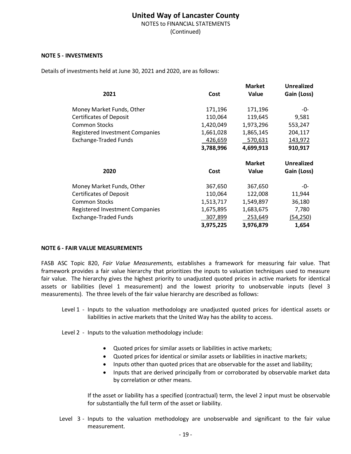NOTES to FINANCIAL STATEMENTS

(Continued)

### **NOTE 5 ‐ INVESTMENTS**

Details of investments held at June 30, 2021 and 2020, are as follows:

|                                 |           | <b>Market</b> | <b>Unrealized</b> |
|---------------------------------|-----------|---------------|-------------------|
| 2021                            | Cost      | Value         | Gain (Loss)       |
| Money Market Funds, Other       | 171,196   | 171,196       | -0-               |
| <b>Certificates of Deposit</b>  | 110,064   | 119,645       | 9,581             |
| <b>Common Stocks</b>            | 1,420,049 | 1,973,296     | 553,247           |
| Registered Investment Companies | 1,661,028 | 1,865,145     | 204,117           |
| <b>Exchange-Traded Funds</b>    | 426,659   | 570,631       | 143,972           |
|                                 | 3,788,996 | 4,699,913     | 910,917           |
|                                 |           | <b>Market</b> | <b>Unrealized</b> |
| 2020                            | Cost      | <b>Value</b>  | Gain (Loss)       |
| Money Market Funds, Other       | 367,650   | 367,650       | -0-               |
| <b>Certificates of Deposit</b>  | 110,064   | 122,008       | 11,944            |
| <b>Common Stocks</b>            | 1,513,717 | 1,549,897     | 36,180            |
| Registered Investment Companies | 1,675,895 | 1,683,675     | 7,780             |
| <b>Exchange-Traded Funds</b>    | 307,899   | 253,649       | (54, 250)         |
|                                 |           |               |                   |

#### **NOTE 6 ‐ FAIR VALUE MEASUREMENTS**

FASB ASC Topic 820, *Fair Value Measurements,* establishes a framework for measuring fair value. That framework provides a fair value hierarchy that prioritizes the inputs to valuation techniques used to measure fair value. The hierarchy gives the highest priority to unadjusted quoted prices in active markets for identical assets or liabilities (level 1 measurement) and the lowest priority to unobservable inputs (level 3 measurements). The three levels of the fair value hierarchy are described as follows:

- Level 1 Inputs to the valuation methodology are unadjusted quoted prices for identical assets or liabilities in active markets that the United Way has the ability to access.
- Level 2 Inputs to the valuation methodology include:
	- Quoted prices for similar assets or liabilities in active markets;
	- Quoted prices for identical or similar assets or liabilities in inactive markets;
	- Inputs other than quoted prices that are observable for the asset and liability;
	- Inputs that are derived principally from or corroborated by observable market data by correlation or other means.

If the asset or liability has a specified (contractual) term, the level 2 input must be observable for substantially the full term of the asset or liability.

Level 3 - Inputs to the valuation methodology are unobservable and significant to the fair value measurement.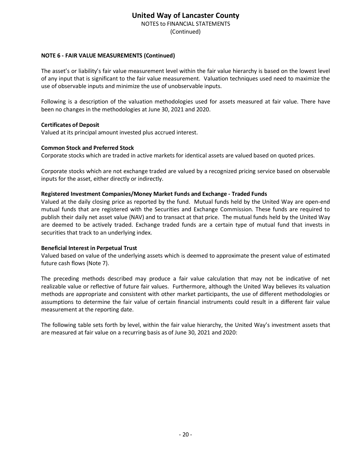NOTES to FINANCIAL STATEMENTS

(Continued)

### **NOTE 6 ‐ FAIR VALUE MEASUREMENTS (Continued)**

The asset's or liability's fair value measurement level within the fair value hierarchy is based on the lowest level of any input that is significant to the fair value measurement. Valuation techniques used need to maximize the use of observable inputs and minimize the use of unobservable inputs.

Following is a description of the valuation methodologies used for assets measured at fair value. There have been no changes in the methodologies at June 30, 2021 and 2020.

### **Certificates of Deposit**

Valued at its principal amount invested plus accrued interest.

### **Common Stock and Preferred Stock**

Corporate stocks which are traded in active markets for identical assets are valued based on quoted prices.

Corporate stocks which are not exchange traded are valued by a recognized pricing service based on observable inputs for the asset, either directly or indirectly.

### **Registered Investment Companies/Money Market Funds and Exchange ‐ Traded Funds**

Valued at the daily closing price as reported by the fund. Mutual funds held by the United Way are open‐end mutual funds that are registered with the Securities and Exchange Commission. These funds are required to publish their daily net asset value (NAV) and to transact at that price. The mutual funds held by the United Way are deemed to be actively traded. Exchange traded funds are a certain type of mutual fund that invests in securities that track to an underlying index.

### **Beneficial Interest in Perpetual Trust**

Valued based on value of the underlying assets which is deemed to approximate the present value of estimated future cash flows (Note 7).

The preceding methods described may produce a fair value calculation that may not be indicative of net realizable value or reflective of future fair values. Furthermore, although the United Way believes its valuation methods are appropriate and consistent with other market participants, the use of different methodologies or assumptions to determine the fair value of certain financial instruments could result in a different fair value measurement at the reporting date.

The following table sets forth by level, within the fair value hierarchy, the United Way's investment assets that are measured at fair value on a recurring basis as of June 30, 2021 and 2020: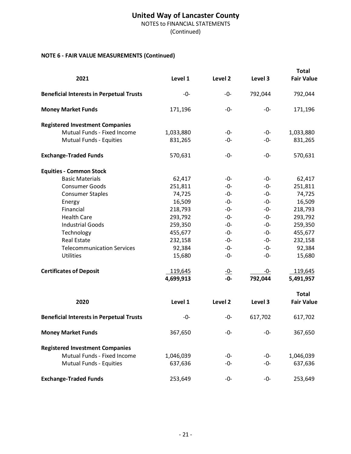NOTES to FINANCIAL STATEMENTS

(Continued)

# **NOTE 6 ‐ FAIR VALUE MEASUREMENTS (Continued)**

| 2021                                            | Level 1   | Level <sub>2</sub> | Level 3 | <b>Total</b><br><b>Fair Value</b> |
|-------------------------------------------------|-----------|--------------------|---------|-----------------------------------|
| <b>Beneficial Interests in Perpetual Trusts</b> | -0-       | -0-                | 792,044 | 792,044                           |
| <b>Money Market Funds</b>                       | 171,196   | -0-                | -0-     | 171,196                           |
| <b>Registered Investment Companies</b>          |           |                    |         |                                   |
| Mutual Funds - Fixed Income                     | 1,033,880 | -0-                | -0-     | 1,033,880                         |
| Mutual Funds - Equities                         | 831,265   | -0-                | -0-     | 831,265                           |
| <b>Exchange-Traded Funds</b>                    | 570,631   | -0-                | -0-     | 570,631                           |
| <b>Equities - Common Stock</b>                  |           |                    |         |                                   |
| <b>Basic Materials</b>                          | 62,417    | -0-                | -0-     | 62,417                            |
| <b>Consumer Goods</b>                           | 251,811   | -0-                | -0-     | 251,811                           |
| <b>Consumer Staples</b>                         | 74,725    | -0-                | $-0-$   | 74,725                            |
| Energy                                          | 16,509    | -0-                | $-0-$   | 16,509                            |
| Financial                                       | 218,793   | -0-                | -0-     | 218,793                           |
| <b>Health Care</b>                              | 293,792   | -0-                | -0-     | 293,792                           |
| <b>Industrial Goods</b>                         | 259,350   | -0-                | $-0-$   | 259,350                           |
| Technology                                      | 455,677   | -0-                | $-0-$   | 455,677                           |
| <b>Real Estate</b>                              | 232,158   | -0-                | -0-     | 232,158                           |
| <b>Telecommunication Services</b>               | 92,384    | -0-                | -0-     | 92,384                            |
| <b>Utilities</b>                                | 15,680    | $-0-$              | $-0-$   | 15,680                            |
| <b>Certificates of Deposit</b>                  | 119,645   |                    | -0-     | 119,645                           |
|                                                 | 4,699,913 | $\frac{-0}{-0}$    | 792,044 | 5,491,957                         |
|                                                 |           |                    |         | <b>Total</b>                      |
| 2020                                            | Level 1   | Level 2            | Level 3 | <b>Fair Value</b>                 |
| <b>Beneficial Interests in Perpetual Trusts</b> | -0-       | -0-                | 617,702 | 617,702                           |
| <b>Money Market Funds</b>                       | 367,650   | -0-                | -0-     | 367,650                           |
| <b>Registered Investment Companies</b>          |           |                    |         |                                   |
| Mutual Funds - Fixed Income                     | 1,046,039 | -0-                | -0-     | 1,046,039                         |
| Mutual Funds - Equities                         | 637,636   | -0-                | $-0-$   | 637,636                           |
| <b>Exchange-Traded Funds</b>                    | 253,649   | -0-                | -0-     | 253,649                           |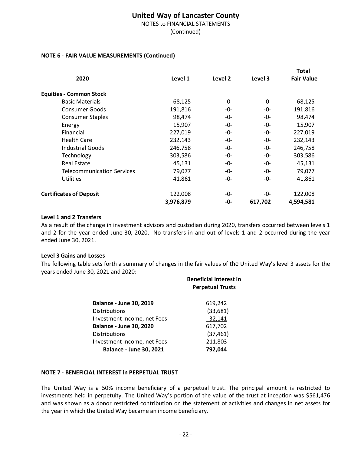NOTES to FINANCIAL STATEMENTS

(Continued)

### **NOTE 6 ‐ FAIR VALUE MEASUREMENTS (Continued)**

|                                   |           |            |         | Total             |
|-----------------------------------|-----------|------------|---------|-------------------|
| 2020                              | Level 1   | Level 2    | Level 3 | <b>Fair Value</b> |
| <b>Equities - Common Stock</b>    |           |            |         |                   |
| <b>Basic Materials</b>            | 68,125    | -0-        | -0-     | 68,125            |
| Consumer Goods                    | 191,816   | -0-        | -0-     | 191,816           |
| <b>Consumer Staples</b>           | 98,474    | -0-        | -0-     | 98,474            |
| Energy                            | 15,907    | -0-        | -0-     | 15,907            |
| Financial                         | 227,019   | -0-        | -0-     | 227,019           |
| <b>Health Care</b>                | 232,143   | -0-        | -0-     | 232,143           |
| Industrial Goods                  | 246,758   | -0-        | -0-     | 246,758           |
| Technology                        | 303,586   | -0-        | -0-     | 303,586           |
| <b>Real Estate</b>                | 45,131    | -0-        | -0-     | 45,131            |
| <b>Telecommunication Services</b> | 79,077    | -0-        | -0-     | 79,077            |
| <b>Utilities</b>                  | 41,861    | -0-        | -0-     | 41,861            |
| <b>Certificates of Deposit</b>    | 122,008   | <u>-0-</u> | -0-     | 122,008           |
|                                   | 3,976,879 | -0-        | 617,702 | 4,594,581         |

### **Level 1 and 2 Transfers**

As a result of the change in investment advisors and custodian during 2020, transfers occurred between levels 1 and 2 for the year ended June 30, 2020. No transfers in and out of levels 1 and 2 occurred during the year ended June 30, 2021.

#### **Level 3 Gains and Losses**

The following table sets forth a summary of changes in the fair values of the United Way's level 3 assets for the years ended June 30, 2021 and 2020:

|                                | <b>Beneficial Interest in</b><br><b>Perpetual Trusts</b> |  |
|--------------------------------|----------------------------------------------------------|--|
| <b>Balance - June 30, 2019</b> | 619,242                                                  |  |
| <b>Distributions</b>           | (33,681)                                                 |  |
| Investment Income, net Fees    | 32,141                                                   |  |
| <b>Balance - June 30, 2020</b> | 617,702                                                  |  |
| <b>Distributions</b>           | (37, 461)                                                |  |
| Investment Income, net Fees    | 211,803                                                  |  |
| <b>Balance - June 30, 2021</b> | 792,044                                                  |  |

### **NOTE 7 ‐ BENEFICIAL INTEREST in PERPETUAL TRUST**

The United Way is a 50% income beneficiary of a perpetual trust. The principal amount is restricted to investments held in perpetuity. The United Way's portion of the value of the trust at inception was \$561,476 and was shown as a donor restricted contribution on the statement of activities and changes in net assets for the year in which the United Way became an income beneficiary.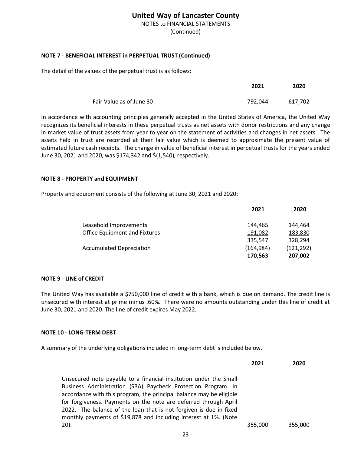NOTES to FINANCIAL STATEMENTS

(Continued)

## **NOTE 7 ‐ BENEFICIAL INTEREST in PERPETUAL TRUST (Continued)**

The detail of the values of the perpetual trust is as follows:

|                          | 2021    | 2020    |
|--------------------------|---------|---------|
| Fair Value as of June 30 | 792.044 | 617,702 |

In accordance with accounting principles generally accepted in the United States of America, the United Way recognizes its beneficial interests in these perpetual trusts as net assets with donor restrictions and any change in market value of trust assets from year to year on the statement of activities and changes in net assets. The assets held in trust are recorded at their fair value which is deemed to approximate the present value of estimated future cash receipts. The change in value of beneficial interest in perpetual trusts for the years ended June 30, 2021 and 2020, was \$174,342 and \$(1,540), respectively.

### **NOTE 8 ‐ PROPERTY and EQUIPMENT**

Property and equipment consists of the following at June 30, 2021 and 2020:

| 2021       | 2020       |
|------------|------------|
| 144.465    | 144.464    |
| 191,082    | 183,830    |
| 335,547    | 328.294    |
| (164, 984) | (121, 292) |
| 170,563    | 207,002    |
|            |            |

### **NOTE 9 ‐ LINE of CREDIT**

The United Way has available a \$750,000 line of credit with a bank, which is due on demand. The credit line is unsecured with interest at prime minus .60%. There were no amounts outstanding under this line of credit at June 30, 2021 and 2020. The line of credit expires May 2022.

### **NOTE 10 ‐ LONG‐TERM DEBT**

A summary of the underlying obligations included in long‐term debt is included below.

|                                                                                                                                        | 2021    | 2020    |
|----------------------------------------------------------------------------------------------------------------------------------------|---------|---------|
| Unsecured note payable to a financial institution under the Small                                                                      |         |         |
| Business Administration (SBA) Paycheck Protection Program. In<br>accordance with this program, the principal balance may be eligible   |         |         |
| for forgiveness. Payments on the note are deferred through April<br>2022. The balance of the loan that is not forgiven is due in fixed |         |         |
| monthly payments of \$19,878 and including interest at 1%. (Note                                                                       |         |         |
| $20$ ).                                                                                                                                | 355,000 | 355,000 |
| --                                                                                                                                     |         |         |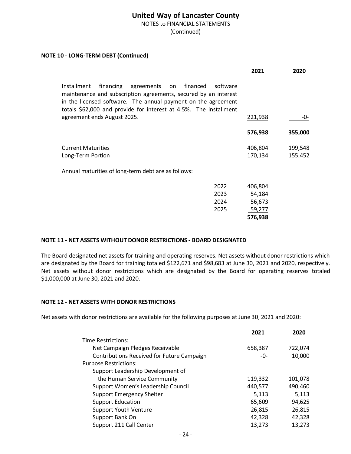NOTES to FINANCIAL STATEMENTS

(Continued)

### **NOTE 10 ‐ LONG‐TERM DEBT (Continued)**

| 2021    | 2020                                                                                                                                                                                                              |
|---------|-------------------------------------------------------------------------------------------------------------------------------------------------------------------------------------------------------------------|
|         |                                                                                                                                                                                                                   |
| 221,938 | -0-                                                                                                                                                                                                               |
| 576,938 | 355,000                                                                                                                                                                                                           |
| 406,804 | 199,548                                                                                                                                                                                                           |
| 170,134 | 155,452                                                                                                                                                                                                           |
|         |                                                                                                                                                                                                                   |
| 406,804 |                                                                                                                                                                                                                   |
| 54,184  |                                                                                                                                                                                                                   |
| 56,673  |                                                                                                                                                                                                                   |
| 59,277  |                                                                                                                                                                                                                   |
| 576,938 |                                                                                                                                                                                                                   |
|         | software<br>maintenance and subscription agreements, secured by an interest<br>in the licensed software. The annual payment on the agreement<br>totals \$62,000 and provide for interest at 4.5%. The installment |

### **NOTE 11 ‐ NET ASSETS WITHOUT DONOR RESTRICTIONS ‐ BOARD DESIGNATED**

The Board designated net assets for training and operating reserves. Net assets without donor restrictions which are designated by the Board for training totaled \$122,671 and \$98,683 at June 30, 2021 and 2020, respectively. Net assets without donor restrictions which are designated by the Board for operating reserves totaled \$1,000,000 at June 30, 2021 and 2020.

### **NOTE 12 ‐ NET ASSETS WITH DONOR RESTRICTIONS**

Net assets with donor restrictions are available for the following purposes at June 30, 2021 and 2020:

|                                            | 2021    | 2020    |
|--------------------------------------------|---------|---------|
| Time Restrictions:                         |         |         |
| Net Campaign Pledges Receivable            | 658,387 | 722,074 |
| Contributions Received for Future Campaign | -0-     | 10,000  |
| <b>Purpose Restrictions:</b>               |         |         |
| Support Leadership Development of          |         |         |
| the Human Service Community                | 119,332 | 101,078 |
| Support Women's Leadership Council         | 440,577 | 490,460 |
| <b>Support Emergency Shelter</b>           | 5,113   | 5,113   |
| <b>Support Education</b>                   | 65,609  | 94,625  |
| <b>Support Youth Venture</b>               | 26,815  | 26,815  |
| Support Bank On                            | 42,328  | 42,328  |
| Support 211 Call Center                    | 13,273  | 13,273  |
|                                            |         |         |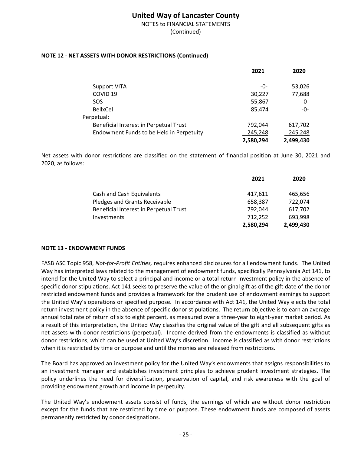NOTES to FINANCIAL STATEMENTS (Continued)

### **NOTE 12 - NET ASSETS WITH DONOR RESTRICTIONS (Continued)**

|                                          | 2021      | 2020      |
|------------------------------------------|-----------|-----------|
| <b>Support VITA</b>                      | -0-       | 53,026    |
| COVID <sub>19</sub>                      | 30,227    | 77,688    |
| <b>SOS</b>                               | 55,867    | -0-       |
| <b>BellxCel</b>                          | 85,474    | -0-       |
| Perpetual:                               |           |           |
| Beneficial Interest in Perpetual Trust   | 792,044   | 617,702   |
| Endowment Funds to be Held in Perpetuity | 245,248   | 245,248   |
|                                          | 2,580,294 | 2,499,430 |

Net assets with donor restrictions are classified on the statement of financial position at June 30, 2021 and 2020, as follows:

|                                        | 2021      | 2020      |
|----------------------------------------|-----------|-----------|
| Cash and Cash Equivalents              | 417,611   | 465,656   |
| Pledges and Grants Receivable          | 658.387   | 722,074   |
| Beneficial Interest in Perpetual Trust | 792.044   | 617,702   |
| Investments                            | 712,252   | 693,998   |
|                                        | 2.580.294 | 2.499.430 |

### **NOTE 13 - ENDOWMENT FUNDS**

FASB ASC Topic 958, *Not-for-Profit Entities,* requires enhanced disclosures for all endowment funds. The United Way has interpreted laws related to the management of endowment funds, specifically Pennsylvania Act 141, to intend for the United Way to select a principal and income or a total return investment policy in the absence of specific donor stipulations. Act 141 seeks to preserve the value of the original gift as of the gift date of the donor restricted endowment funds and provides a framework for the prudent use of endowment earnings to support the United Way's operations or specified purpose. In accordance with Act 141, the United Way elects the total return investment policy in the absence of specific donor stipulations. The return objective is to earn an average annual total rate of return of six to eight percent, as measured over a three-year to eight-year market period. As a result of this interpretation, the United Way classifies the original value of the gift and all subsequent gifts as net assets with donor restrictions (perpetual). Income derived from the endowments is classified as without donor restrictions, which can be used at United Way's discretion. Income is classified as with donor restrictions when it is restricted by time or purpose and until the monies are released from restrictions.

The Board has approved an investment policy for the United Way's endowments that assigns responsibilities to an investment manager and establishes investment principles to achieve prudent investment strategies. The policy underlines the need for diversification, preservation of capital, and risk awareness with the goal of providing endowment growth and income in perpetuity.

The United Way's endowment assets consist of funds, the earnings of which are without donor restriction except for the funds that are restricted by time or purpose. These endowment funds are composed of assets permanently restricted by donor designations.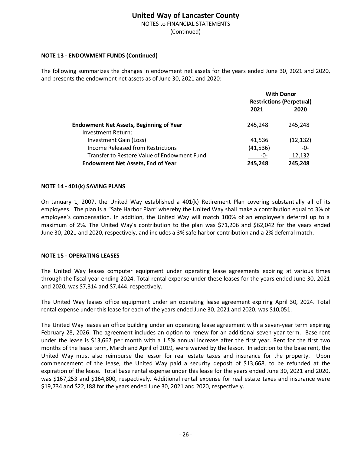NOTES to FINANCIAL STATEMENTS

(Continued)

### **NOTE 13 ‐ ENDOWMENT FUNDS (Continued)**

The following summarizes the changes in endowment net assets for the years ended June 30, 2021 and 2020, and presents the endowment net assets as of June 30, 2021 and 2020:

|                                                |                                 | <b>With Donor</b> |
|------------------------------------------------|---------------------------------|-------------------|
|                                                | <b>Restrictions (Perpetual)</b> |                   |
|                                                | 2021                            | 2020              |
| <b>Endowment Net Assets, Beginning of Year</b> | 245.248                         | 245.248           |
| Investment Return:                             |                                 |                   |
| Investment Gain (Loss)                         | 41,536                          | (12, 132)         |
| Income Released from Restrictions              | (41, 536)                       | -0-               |
| Transfer to Restore Value of Endowment Fund    | -0-                             | 12,132            |
| <b>Endowment Net Assets, End of Year</b>       | 245,248                         | 245,248           |

### **NOTE 14 ‐ 401(k) SAVING PLANS**

On January 1, 2007, the United Way established a 401(k) Retirement Plan covering substantially all of its employees. The plan is a "Safe Harbor Plan" whereby the United Way shall make a contribution equal to 3% of employee's compensation. In addition, the United Way will match 100% of an employee's deferral up to a maximum of 2%. The United Way's contribution to the plan was \$71,206 and \$62,042 for the years ended June 30, 2021 and 2020, respectively, and includes a 3% safe harbor contribution and a 2% deferral match.

### **NOTE 15 ‐ OPERATING LEASES**

The United Way leases computer equipment under operating lease agreements expiring at various times through the fiscal year ending 2024. Total rental expense under these leases for the years ended June 30, 2021 and 2020, was \$7,314 and \$7,444, respectively.

The United Way leases office equipment under an operating lease agreement expiring April 30, 2024. Total rental expense under this lease for each of the years ended June 30, 2021 and 2020, was \$10,051.

The United Way leases an office building under an operating lease agreement with a seven‐year term expiring February 28, 2026. The agreement includes an option to renew for an additional seven-year term. Base rent under the lease is \$13,667 per month with a 1.5% annual increase after the first year. Rent for the first two months of the lease term, March and April of 2019, were waived by the lessor. In addition to the base rent, the United Way must also reimburse the lessor for real estate taxes and insurance for the property. Upon commencement of the lease, the United Way paid a security deposit of \$13,668, to be refunded at the expiration of the lease. Total base rental expense under this lease for the years ended June 30, 2021 and 2020, was \$167,253 and \$164,800, respectively. Additional rental expense for real estate taxes and insurance were \$19,734 and \$22,188 for the years ended June 30, 2021 and 2020, respectively.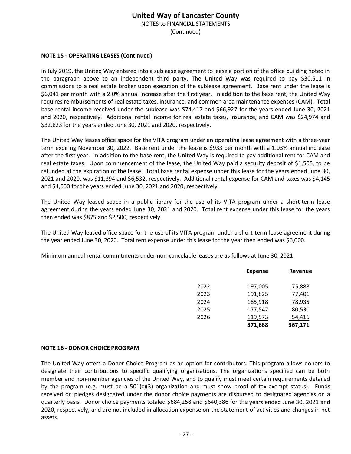NOTES to FINANCIAL STATEMENTS

(Continued)

### **NOTE 15 ‐ OPERATING LEASES (Continued)**

In July 2019, the United Way entered into a sublease agreement to lease a portion of the office building noted in the paragraph above to an independent third party. The United Way was required to pay \$30,511 in commissions to a real estate broker upon execution of the sublease agreement. Base rent under the lease is \$6,041 per month with a 2.0% annual increase after the first year. In addition to the base rent, the United Way requires reimbursements of real estate taxes, insurance, and common area maintenance expenses (CAM). Total base rental income received under the sublease was \$74,417 and \$66,927 for the years ended June 30, 2021 and 2020, respectively. Additional rental income for real estate taxes, insurance, and CAM was \$24,974 and \$32,823 for the years ended June 30, 2021 and 2020, respectively.

The United Way leases office space for the VITA program under an operating lease agreement with a three‐year term expiring November 30, 2022. Base rent under the lease is \$933 per month with a 1.03% annual increase after the first year. In addition to the base rent, the United Way is required to pay additional rent for CAM and real estate taxes. Upon commencement of the lease, the United Way paid a security deposit of \$1,505, to be refunded at the expiration of the lease. Total base rental expense under this lease for the years ended June 30, 2021 and 2020, was \$11,394 and \$6,532, respectively. Additional rental expense for CAM and taxes was \$4,145 and \$4,000 for the years ended June 30, 2021 and 2020, respectively.

The United Way leased space in a public library for the use of its VITA program under a short‐term lease agreement during the years ended June 30, 2021 and 2020. Total rent expense under this lease for the years then ended was \$875 and \$2,500, respectively.

The United Way leased office space for the use of its VITA program under a short-term lease agreement during the year ended June 30, 2020. Total rent expense under this lease for the year then ended was \$6,000.

Minimum annual rental commitments under non‐cancelable leases are as follows at June 30, 2021:

|      | <b>Expense</b> | Revenue |
|------|----------------|---------|
| 2022 | 197,005        | 75,888  |
| 2023 | 191,825        | 77,401  |
| 2024 | 185,918        | 78,935  |
| 2025 | 177,547        | 80,531  |
| 2026 | 119,573        | 54,416  |
|      | 871,868        | 367,171 |

### **NOTE 16 ‐ DONOR CHOICE PROGRAM**

The United Way offers a Donor Choice Program as an option for contributors. This program allows donors to designate their contributions to specific qualifying organizations. The organizations specified can be both member and non‐member agencies of the United Way, and to qualify must meet certain requirements detailed by the program (e.g. must be a  $501(c)(3)$  organization and must show proof of tax-exempt status). Funds received on pledges designated under the donor choice payments are disbursed to designated agencies on a quarterly basis. Donor choice payments totaled \$684,258 and \$640,386 for the years ended June 30, 2021 and 2020, respectively, and are not included in allocation expense on the statement of activities and changes in net assets.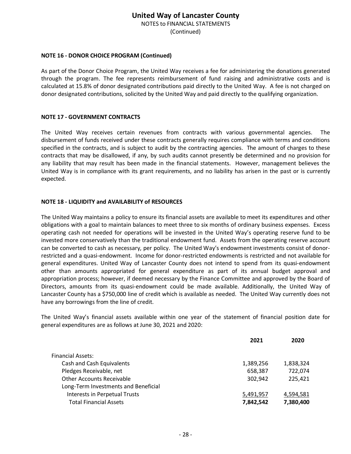NOTES to FINANCIAL STATEMENTS

(Continued)

### **NOTE 16 ‐ DONOR CHOICE PROGRAM (Continued)**

As part of the Donor Choice Program, the United Way receives a fee for administering the donations generated through the program. The fee represents reimbursement of fund raising and administrative costs and is calculated at 15.8% of donor designated contributions paid directly to the United Way. A fee is not charged on donor designated contributions, solicited by the United Way and paid directly to the qualifying organization.

### **NOTE 17 ‐ GOVERNMENT CONTRACTS**

The United Way receives certain revenues from contracts with various governmental agencies. The disbursement of funds received under these contracts generally requires compliance with terms and conditions specified in the contracts, and is subject to audit by the contracting agencies. The amount of charges to these contracts that may be disallowed, if any, by such audits cannot presently be determined and no provision for any liability that may result has been made in the financial statements. However, management believes the United Way is in compliance with its grant requirements, and no liability has arisen in the past or is currently expected.

### **NOTE 18 ‐ LIQUIDITY and AVAILABILITY of RESOURCES**

The United Way maintains a policy to ensure its financial assets are available to meet its expenditures and other obligations with a goal to maintain balances to meet three to six months of ordinary business expenses. Excess operating cash not needed for operations will be invested in the United Way's operating reserve fund to be invested more conservatively than the traditional endowment fund. Assets from the operating reserve account can be converted to cash as necessary, per policy. The United Way's endowment investments consist of donor‐ restricted and a quasi‐endowment. Income for donor‐restricted endowments is restricted and not available for general expenditures. United Way of Lancaster County does not intend to spend from its quasi-endowment other than amounts appropriated for general expenditure as part of its annual budget approval and appropriation process; however, if deemed necessary by the Finance Committee and approved by the Board of Directors, amounts from its quasi-endowment could be made available. Additionally, the United Way of Lancaster County has a \$750,000 line of credit which is available as needed. The United Way currently does not have any borrowings from the line of credit.

The United Way's financial assets available within one year of the statement of financial position date for general expenditures are as follows at June 30, 2021 and 2020:

|                                      | 2021      | 2020      |
|--------------------------------------|-----------|-----------|
| <b>Financial Assets:</b>             |           |           |
| Cash and Cash Equivalents            | 1,389,256 | 1,838,324 |
| Pledges Receivable, net              | 658,387   | 722,074   |
| <b>Other Accounts Receivable</b>     | 302,942   | 225,421   |
| Long-Term Investments and Beneficial |           |           |
| Interests in Perpetual Trusts        | 5,491,957 | 4,594,581 |
| <b>Total Financial Assets</b>        | 7,842,542 | 7,380,400 |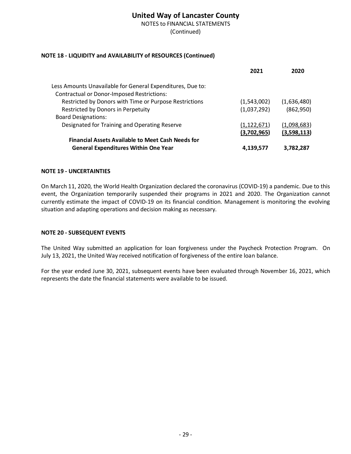NOTES to FINANCIAL STATEMENTS

(Continued)

### **NOTE 18 ‐ LIQUIDITY and AVAILABILITY of RESOURCES (Continued)**

|                                                            | 2021          | 2020        |
|------------------------------------------------------------|---------------|-------------|
| Less Amounts Unavailable for General Expenditures, Due to: |               |             |
| <b>Contractual or Donor-Imposed Restrictions:</b>          |               |             |
| Restricted by Donors with Time or Purpose Restrictions     | (1,543,002)   | (1,636,480) |
| Restricted by Donors in Perpetuity                         | (1,037,292)   | (862,950)   |
| <b>Board Designations:</b>                                 |               |             |
| Designated for Training and Operating Reserve              | (1, 122, 671) | (1,098,683) |
|                                                            | (3,702,965)   | (3,598,113) |
| <b>Financial Assets Available to Meet Cash Needs for</b>   |               |             |
| <b>General Expenditures Within One Year</b>                | 4,139,577     | 3,782,287   |

### **NOTE 19 ‐ UNCERTAINTIES**

On March 11, 2020, the World Health Organization declared the coronavirus (COVID‐19) a pandemic. Due to this event, the Organization temporarily suspended their programs in 2021 and 2020. The Organization cannot currently estimate the impact of COVID‐19 on its financial condition. Management is monitoring the evolving situation and adapting operations and decision making as necessary.

### **NOTE 20 ‐ SUBSEQUENT EVENTS**

The United Way submitted an application for loan forgiveness under the Paycheck Protection Program. On July 13, 2021, the United Way received notification of forgiveness of the entire loan balance.

For the year ended June 30, 2021, subsequent events have been evaluated through November 16, 2021, which represents the date the financial statements were available to be issued.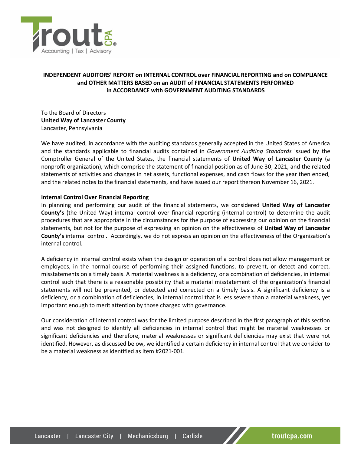

### **INDEPENDENT AUDITORS' REPORT on INTERNAL CONTROL over FINANCIAL REPORTING and on COMPLIANCE and OTHER MATTERS BASED on an AUDIT of FINANCIAL STATEMENTS PERFORMED in ACCORDANCE with GOVERNMENT AUDITING STANDARDS**

To the Board of Directors **United Way of Lancaster County** Lancaster, Pennsylvania

We have audited, in accordance with the auditing standards generally accepted in the United States of America and the standards applicable to financial audits contained in *Government Auditing Standards* issued by the Comptroller General of the United States, the financial statements of **United Way of Lancaster County** (a nonprofit organization), which comprise the statement of financial position as of June 30, 2021, and the related statements of activities and changes in net assets, functional expenses, and cash flows for the year then ended, and the related notes to the financial statements, and have issued our report thereon November 16, 2021.

#### **Internal Control Over Financial Reporting**

In planning and performing our audit of the financial statements, we considered **United Way of Lancaster County's** (the United Way) internal control over financial reporting (internal control) to determine the audit procedures that are appropriate in the circumstances for the purpose of expressing our opinion on the financial statements, but not for the purpose of expressing an opinion on the effectiveness of **United Way of Lancaster County's** internal control. Accordingly, we do not express an opinion on the effectiveness of the Organization's internal control.

A deficiency in internal control exists when the design or operation of a control does not allow management or employees, in the normal course of performing their assigned functions, to prevent, or detect and correct, misstatements on a timely basis. A material weakness is a deficiency, or a combination of deficiencies, in internal control such that there is a reasonable possibility that a material misstatement of the organization's financial statements will not be prevented, or detected and corrected on a timely basis. A significant deficiency is a deficiency, or a combination of deficiencies, in internal control that is less severe than a material weakness, yet important enough to merit attention by those charged with governance.

Our consideration of internal control was for the limited purpose described in the first paragraph of this section and was not designed to identify all deficiencies in internal control that might be material weaknesses or significant deficiencies and therefore, material weaknesses or significant deficiencies may exist that were not identified. However, as discussed below, we identified a certain deficiency in internal control that we consider to be a material weakness asidentified as item #2021‐001.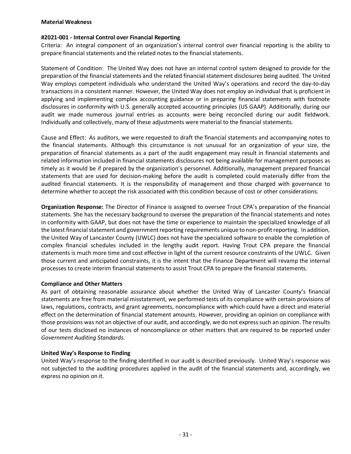#### **Material Weakness**

### **#2021‐001 ‐ Internal Control over Financial Reporting**

Criteria: An integral component of an organization's internal control over financial reporting is the ability to prepare financial statements and the related notes to the financial statements.

Statement of Condition: The United Way does not have an internal control system designed to provide for the preparation of the financial statements and the related financial statement disclosures being audited. The United Way employs competent individuals who understand the United Way's operations and record the day‐to‐day transactions in a consistent manner. However, the United Way does not employ an individual that is proficient in applying and implementing complex accounting guidance or in preparing financial statements with footnote disclosures in conformity with U.S. generally accepted accounting principles (US GAAP). Additionally, during our audit we made numerous journal entries as accounts were being reconciled during our audit fieldwork. Individually and collectively, many of these adjustments were material to the financial statements.

Cause and Effect: As auditors, we were requested to draft the financial statements and accompanying notes to the financial statements. Although this circumstance is not unusual for an organization of your size, the preparation of financial statements as a part of the audit engagement may result in financial statements and related information included in financial statements disclosures not being available for management purposes as timely as it would be if prepared by the organization's personnel. Additionally, management prepared financial statements that are used for decision-making before the audit is completed could materially differ from the audited financial statements. It is the responsibility of management and those charged with governance to determine whether to accept the risk associated with this condition because of cost or other considerations.

**Organization Response:** The Director of Finance is assigned to oversee Trout CPA's preparation of the financial statements. She has the necessary background to oversee the preparation of the financial statements and notes in conformity with GAAP, but does not have the time or experience to maintain the specialized knowledge of all the latest financial statement and government reporting requirements unique to non-profit reporting. In addition, the United Way of Lancaster County (UWLC) does not have the specialized software to enable the completion of complex financial schedules included in the lengthy audit report. Having Trout CPA prepare the financial statements is much more time and cost effective in light of the current resource constraints of the UWLC. Given those current and anticipated constraints, it is the intent that the Finance Department will revamp the internal processes to create interim financial statements to assist Trout CPA to prepare the financial statements.

### **Compliance and Other Matters**

As part of obtaining reasonable assurance about whether the United Way of Lancaster County's financial statements are free from material misstatement, we performed tests of its compliance with certain provisions of laws, regulations, contracts, and grant agreements, noncompliance with which could have a direct and material effect on the determination of financial statement amounts. However, providing an opinion on compliance with those provisions was not an objective of our audit, and accordingly, we do not express such an opinion. The results of our tests disclosed no instances of noncompliance or other matters that are required to be reported under *Government Auditing Standards*.

### **United Way's Response to Finding**

United Way's response to the finding identified in our audit is described previously. United Way's response was not subjected to the auditing procedures applied in the audit of the financial statements and, accordingly, we express no opinion on it.